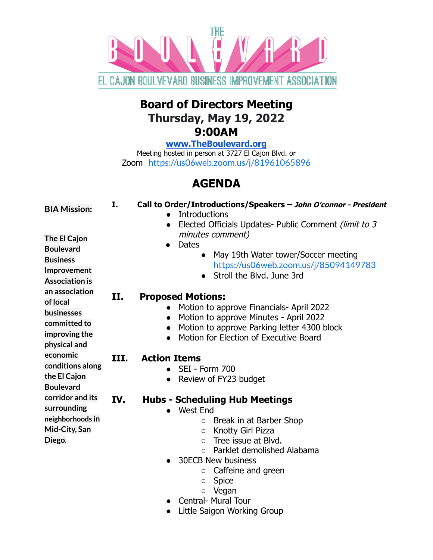

## **Board of Directors Meeting Thursday, May 19, 2022 9:00AM**

**[www.TheBoulevard.org](http://www.theboulevard.org)**

Meeting hosted in person at 3727 El Cajon Blvd. or Zoom <https://us06web.zoom.us/j/81961065896>

# **AGENDA**

| <b>BIA Mission:</b>                                                                                           | I.   | Call to Order/Introductions/Speakers - John O'connor - President<br><b>Introductions</b><br>Elected Officials Updates- Public Comment (limit to 3<br>$\bullet$                                                                                                                                                                                             |
|---------------------------------------------------------------------------------------------------------------|------|------------------------------------------------------------------------------------------------------------------------------------------------------------------------------------------------------------------------------------------------------------------------------------------------------------------------------------------------------------|
| The El Cajon<br><b>Boulevard</b><br><b>Business</b><br>Improvement<br><b>Association is</b><br>an association |      | minutes comment)<br>Dates<br>$\bullet$<br>May 19th Water tower/Soccer meeting<br>$\bullet$<br>https://us06web.zoom.us/j/85094149783<br>Stroll the Blvd. June 3rd<br>$\bullet$                                                                                                                                                                              |
| of local<br>businesses<br>committed to<br>improving the<br>physical and                                       | II.  | <b>Proposed Motions:</b><br>Motion to approve Financials- April 2022<br>Motion to approve Minutes - April 2022<br>$\bullet$<br>Motion to approve Parking letter 4300 block<br>Motion for Election of Executive Board                                                                                                                                       |
| economic<br>conditions along<br>the El Cajon<br><b>Boulevard</b>                                              | III. | <b>Action Items</b><br>SEI - Form 700<br>Review of FY23 budget                                                                                                                                                                                                                                                                                             |
| corridor and its<br>surrounding<br>neighborhoods in<br>Mid-City, San<br>Diego.                                | IV.  | <b>Hubs - Scheduling Hub Meetings</b><br>West End<br>$\bullet$<br>Break in at Barber Shop<br>$\circ$<br>Knotty Girl Pizza<br>$\circ$<br>Tree issue at Blvd.<br>$\bigcirc$<br>Parklet demolished Alabama<br>$\Omega$<br><b>30ECB New business</b><br>Caffeine and green<br>$\bigcirc$<br><b>Spice</b><br>$\circ$<br>Vegan<br>$\circ$<br>Central- Mural Tour |

● Little Saigon Working Group